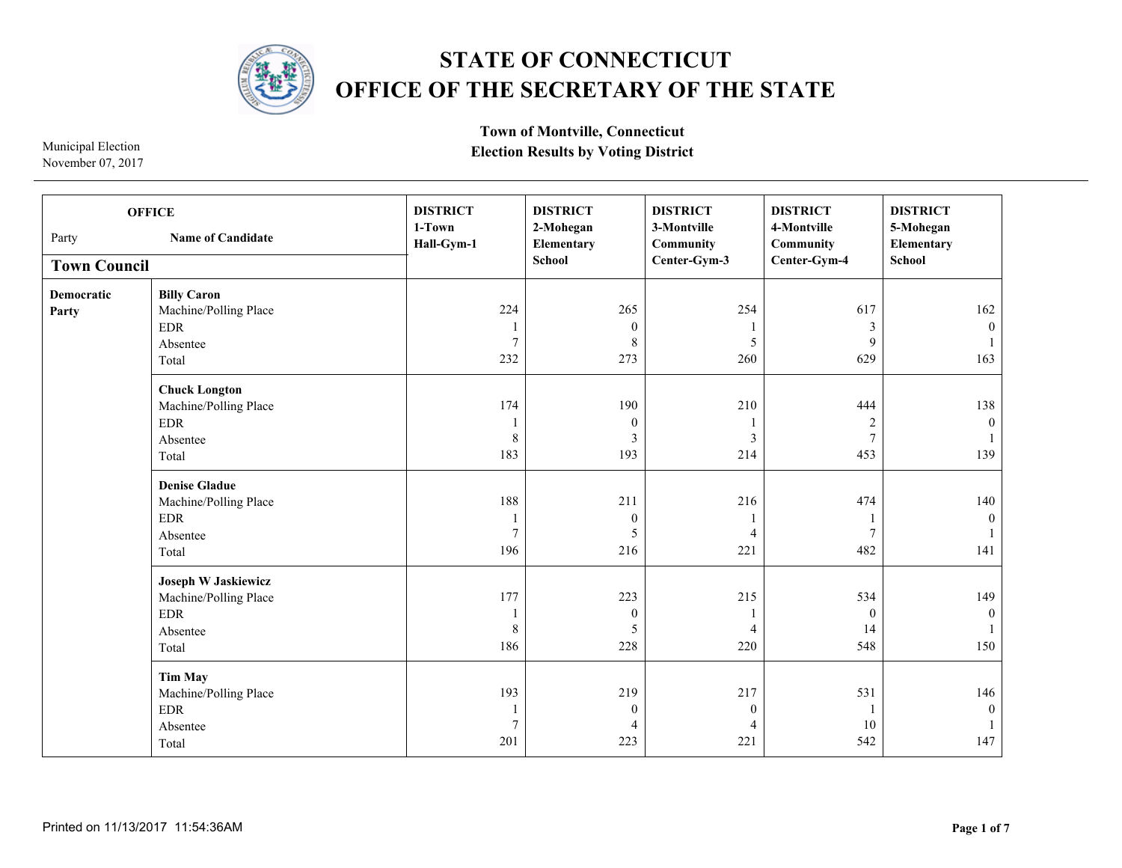

## **STATE OF CONNECTICUT OFFICE OF THE SECRETARY OF THE STATE**

November 07, 2017

**Town of Montville, Connecticut Election Results by Voting District** 

**Town Council DISTRICT 1-Town Hall-Gym-1 DISTRICT 2-Mohegan Elementary School DISTRICT 3-Montville Community Center-Gym-3 DISTRICT 4-Montville Community Center-Gym-4 DISTRICT 5-Mohegan Elementary School Democratic Party Billy Caron** Machine/Polling Place EDR Absentee Total **Chuck Longton** Machine/Polling Place EDR Absentee Total **Denise Gladue** Machine/Polling Place EDR Absentee Total **Joseph W Jaskiewicz** Machine/Polling Place EDR Absentee Total **Tim May** Machine/Polling Place EDR Absentee Total Party **Name of Candidate OFFICE**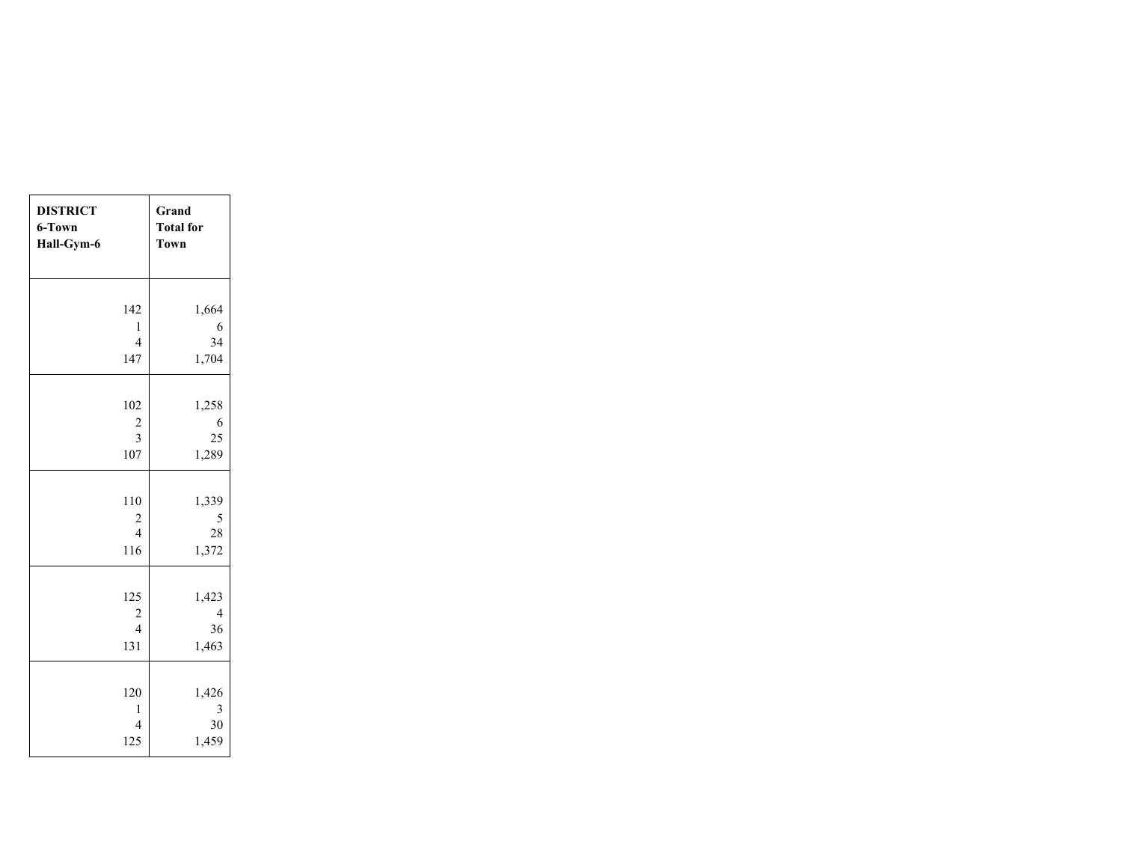| <b>DISTRICT</b><br>Grand<br>6-Town<br><b>Total</b> for<br>Hall-Gym-6<br><b>Town</b> |                |
|-------------------------------------------------------------------------------------|----------------|
|                                                                                     |                |
| 142<br>1,664                                                                        |                |
| $\mathbf{1}$                                                                        | 6              |
| $\overline{4}$                                                                      | 34             |
| 147<br>1,704                                                                        |                |
|                                                                                     |                |
| 102<br>1,258                                                                        |                |
| $\frac{2}{3}$                                                                       | 6              |
|                                                                                     | 25             |
| 107<br>1,289                                                                        |                |
|                                                                                     |                |
| 110<br>1,339                                                                        |                |
| $\frac{2}{4}$                                                                       | 5              |
|                                                                                     | 28             |
| 116<br>1,372                                                                        |                |
|                                                                                     |                |
| 125<br>1,423                                                                        |                |
| $\frac{2}{4}$                                                                       | $\overline{4}$ |
|                                                                                     | 36             |
| 131<br>1,463                                                                        |                |
|                                                                                     |                |
| 120<br>1,426                                                                        |                |
| 1                                                                                   | 3              |
| $\overline{4}$                                                                      | 30             |
| 1,459<br>125                                                                        |                |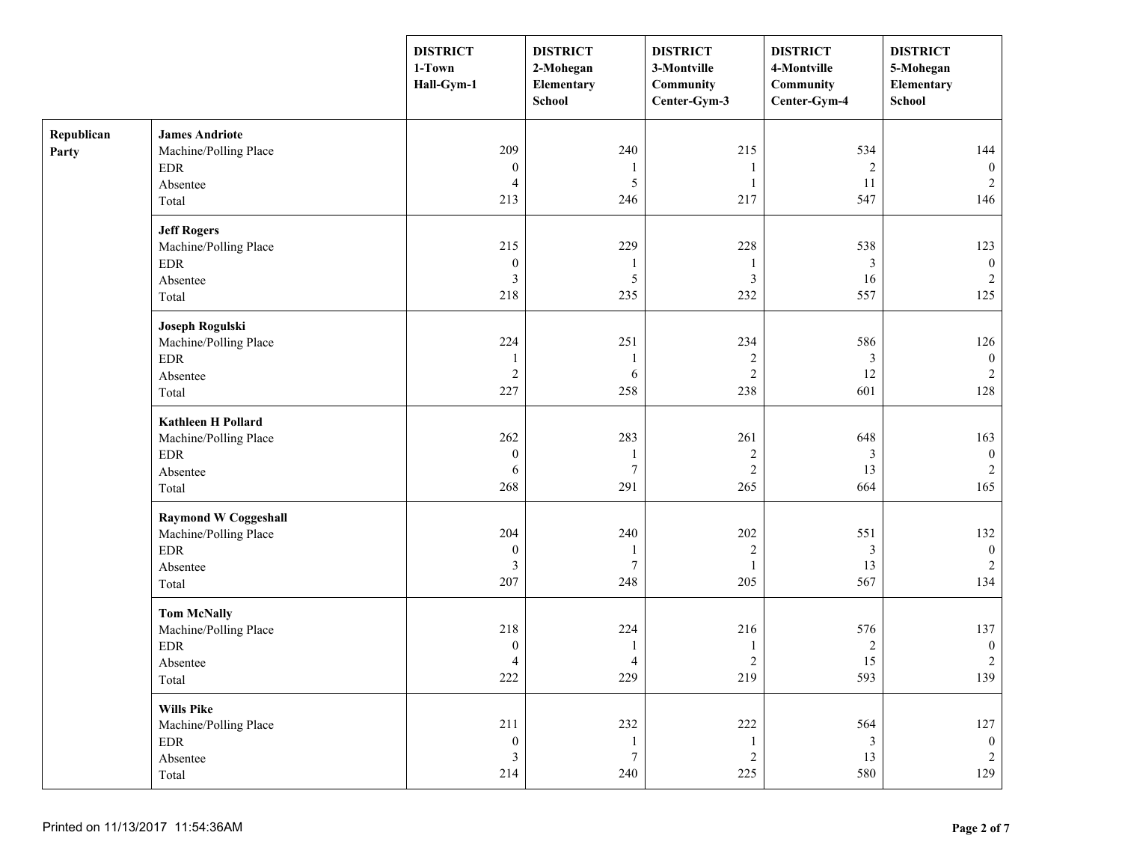|                     |                                                                                                          | <b>DISTRICT</b><br>1-Town<br>Hall-Gym-1          | <b>DISTRICT</b><br>2-Mohegan<br>Elementary<br><b>School</b> | <b>DISTRICT</b><br>3-Montville<br>Community<br>Center-Gym-3 | <b>DISTRICT</b><br>4-Montville<br>Community<br>Center-Gym-4 | <b>DISTRICT</b><br>5-Mohegan<br>Elementary<br>School |
|---------------------|----------------------------------------------------------------------------------------------------------|--------------------------------------------------|-------------------------------------------------------------|-------------------------------------------------------------|-------------------------------------------------------------|------------------------------------------------------|
| Republican<br>Party | <b>James Andriote</b><br>Machine/Polling Place<br>$\rm EDR$<br>Absentee<br>Total                         | 209<br>$\boldsymbol{0}$<br>4<br>213              | 240<br>5<br>246                                             | 215<br>$\mathbf{1}$<br>$\overline{1}$<br>217                | 534<br>$\overline{2}$<br>11<br>547                          | 144<br>$\boldsymbol{0}$<br>2<br>146                  |
|                     | <b>Jeff Rogers</b><br>Machine/Polling Place<br>$\rm EDR$<br>Absentee<br>Total                            | 215<br>$\boldsymbol{0}$<br>3<br>218              | 229<br>1<br>5<br>235                                        | 228<br>-1<br>$\mathfrak{Z}$<br>232                          | 538<br>3<br>16<br>557                                       | 123<br>$\boldsymbol{0}$<br>$\overline{2}$<br>125     |
|                     | Joseph Rogulski<br>Machine/Polling Place<br><b>EDR</b><br>Absentee<br>Total                              | 224<br>1<br>$\overline{2}$<br>227                | 251<br>$\mathbf{1}$<br>6<br>258                             | 234<br>$\sqrt{2}$<br>$\overline{2}$<br>238                  | 586<br>$\mathfrak{Z}$<br>12<br>601                          | 126<br>$\boldsymbol{0}$<br>2<br>128                  |
|                     | <b>Kathleen H Pollard</b><br>Machine/Polling Place<br>$\ensuremath{\mathrm{EDR}}$<br>Absentee<br>Total   | 262<br>$\boldsymbol{0}$<br>6<br>268              | 283<br>1<br>$\boldsymbol{7}$<br>291                         | 261<br>$\sqrt{2}$<br>$\sqrt{2}$<br>265                      | 648<br>3<br>13<br>664                                       | 163<br>$\mathbf{0}$<br>$\overline{c}$<br>165         |
|                     | <b>Raymond W Coggeshall</b><br>Machine/Polling Place<br>$\ensuremath{\mathrm{EDR}}$<br>Absentee<br>Total | 204<br>$\boldsymbol{0}$<br>3<br>207              | 240<br>1<br>$\tau$<br>248                                   | 202<br>$\sqrt{2}$<br>1<br>205                               | 551<br>$\mathfrak{Z}$<br>13<br>567                          | 132<br>$\mathbf{0}$<br>2<br>134                      |
|                     | <b>Tom McNally</b><br>Machine/Polling Place<br><b>EDR</b><br>Absentee<br>Total                           | 218<br>$\boldsymbol{0}$<br>4<br>$222\,$          | 224<br>1<br>$\overline{4}$<br>229                           | 216<br>$\mathbf{1}$<br>$\mathbf{2}$<br>219                  | 576<br>$\boldsymbol{2}$<br>15<br>593                        | 137<br>$\bf{0}$<br>$\sqrt{2}$<br>139                 |
|                     | <b>Wills Pike</b><br>Machine/Polling Place<br><b>EDR</b><br>Absentee<br>Total                            | 211<br>$\boldsymbol{0}$<br>$\mathfrak{Z}$<br>214 | 232<br>$\mathbf{1}$<br>$\boldsymbol{7}$<br>240              | $222\,$<br>$\overline{1}$<br>$\sqrt{2}$<br>225              | 564<br>$\mathfrak{Z}$<br>13<br>580                          | 127<br>$\mathbf{0}$<br>$\overline{2}$<br>129         |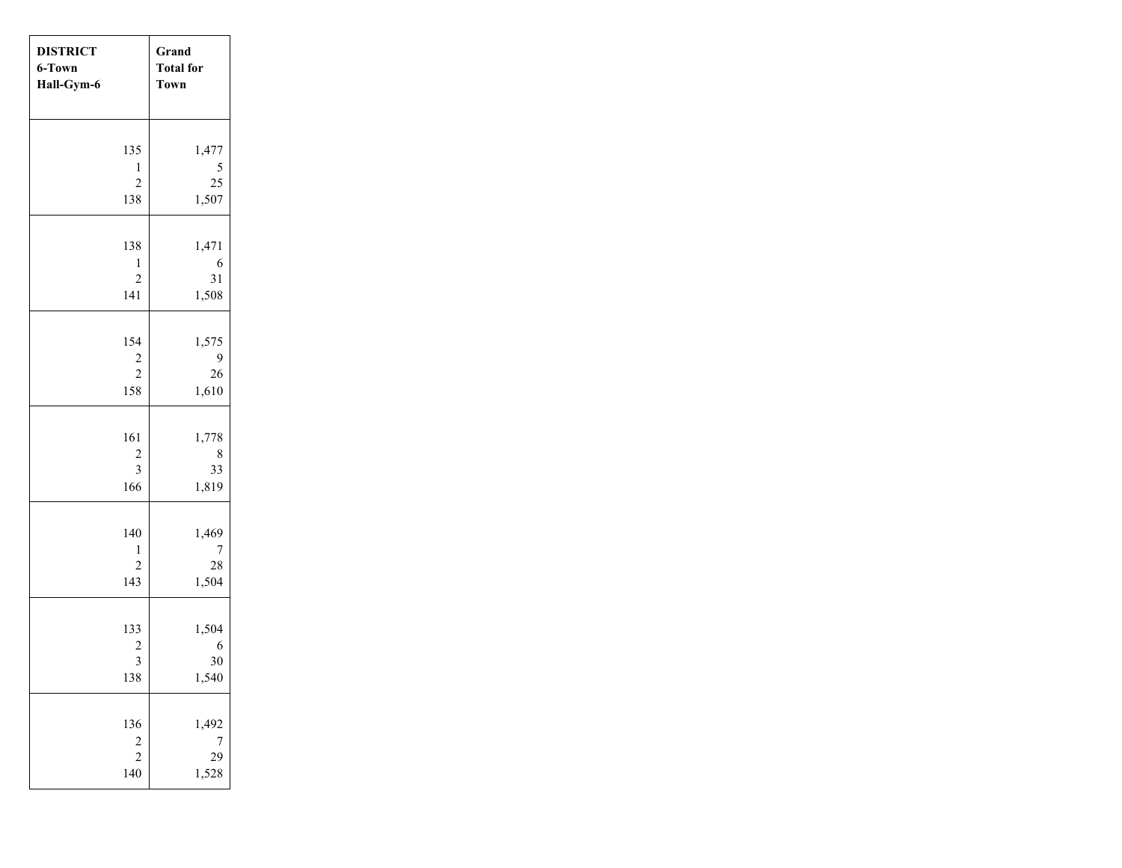| <b>DISTRICT</b><br>6-Town<br>Hall-Gym-6 |                                | Grand<br><b>Total for</b><br><b>Town</b> |
|-----------------------------------------|--------------------------------|------------------------------------------|
|                                         | 135                            | 1,477                                    |
|                                         | $\mathbf{1}$                   |                                          |
|                                         | $\overline{c}$                 | $\frac{5}{25}$                           |
|                                         | 138                            | 1,507                                    |
|                                         | 138                            | 1,471                                    |
|                                         | $\mathbf{1}$                   | 6                                        |
|                                         | $\overline{c}$                 | 31                                       |
|                                         | 141                            | 1,508                                    |
|                                         |                                |                                          |
|                                         | 154                            | 1,575<br>9                               |
|                                         | $\frac{2}{2}$                  | 26                                       |
|                                         | 158                            | 1,610                                    |
|                                         |                                |                                          |
|                                         | 161<br>$\overline{\mathbf{c}}$ | 1,778<br>8                               |
|                                         | $\overline{\mathbf{3}}$        | 33                                       |
|                                         | 166                            | 1,819                                    |
|                                         |                                |                                          |
|                                         | 140                            | 1,469                                    |
|                                         | $\mathbf{1}$<br>$\overline{c}$ | 7<br>28                                  |
|                                         | 143                            | 1,504                                    |
|                                         |                                |                                          |
|                                         | 133                            | 1,504                                    |
|                                         | $\frac{2}{3}$                  | 6<br>30                                  |
|                                         | 138                            | 1,540                                    |
|                                         |                                |                                          |
|                                         | 136                            | 1,492                                    |
|                                         | $\frac{2}{2}$                  | $\frac{7}{29}$                           |
|                                         | 140                            | 1,528                                    |
|                                         |                                |                                          |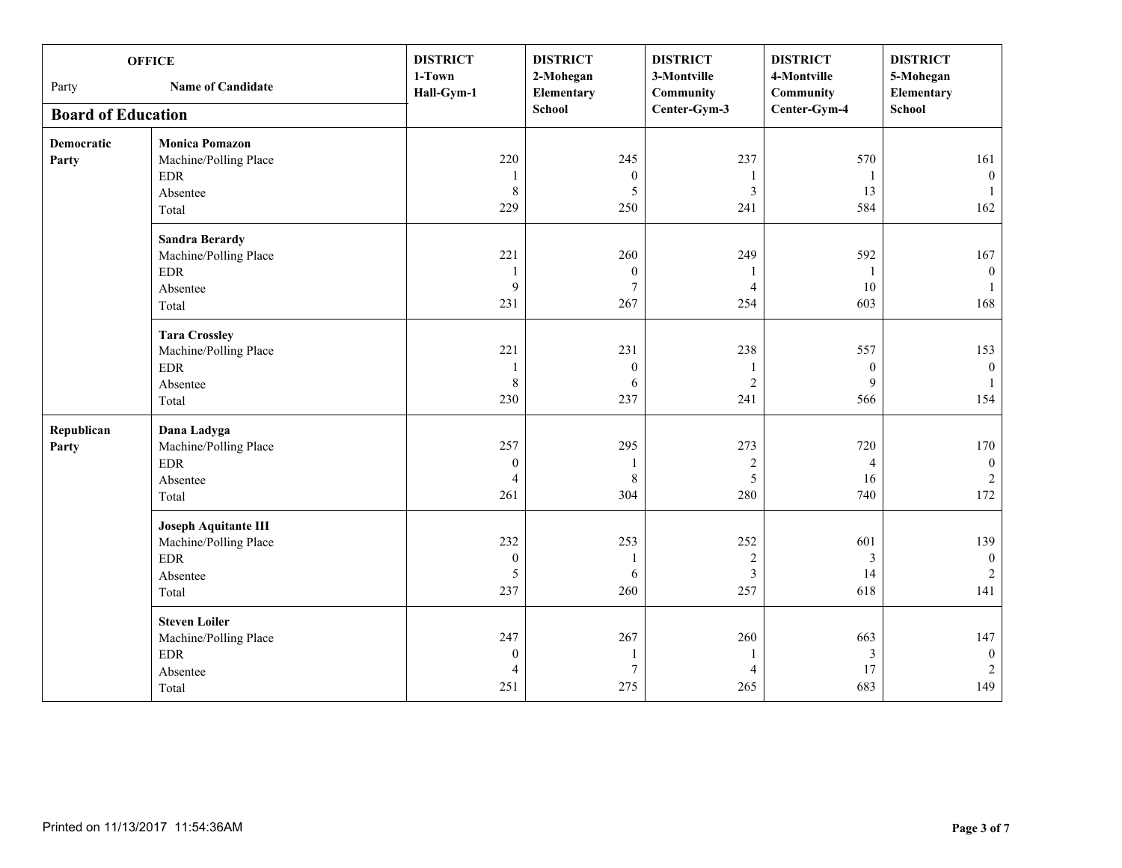| <b>OFFICE</b><br><b>Name of Candidate</b><br>Party |                                                                                         | <b>DISTRICT</b><br>1-Town<br>Hall-Gym-1 | <b>DISTRICT</b><br>2-Mohegan<br>Elementary<br><b>School</b> | <b>DISTRICT</b><br>3-Montville<br>Community<br>Center-Gym-3 | <b>DISTRICT</b><br>4-Montville<br>Community<br>Center-Gym-4 | <b>DISTRICT</b><br>5-Mohegan<br>Elementary<br><b>School</b> |
|----------------------------------------------------|-----------------------------------------------------------------------------------------|-----------------------------------------|-------------------------------------------------------------|-------------------------------------------------------------|-------------------------------------------------------------|-------------------------------------------------------------|
| <b>Board of Education</b>                          |                                                                                         |                                         |                                                             |                                                             |                                                             |                                                             |
| <b>Democratic</b><br>Party                         | <b>Monica Pomazon</b><br>Machine/Polling Place<br><b>EDR</b><br>Absentee<br>Total       | 220<br>1<br>$\,$ 8 $\,$<br>229          | 245<br>$\boldsymbol{0}$<br>$\mathfrak s$<br>250             | 237<br>1<br>$\mathfrak{Z}$<br>241                           | 570<br>-1<br>13<br>584                                      | 161<br>$\mathbf{0}$<br>$\mathbf{1}$<br>162                  |
|                                                    | <b>Sandra Berardy</b><br>Machine/Polling Place<br><b>EDR</b><br>Absentee<br>Total       | 221<br>1<br>9<br>231                    | 260<br>$\boldsymbol{0}$<br>$\overline{7}$<br>267            | 249<br>$\mathbf{1}$<br>$\overline{4}$<br>254                | 592<br>-1<br>10<br>603                                      | 167<br>$\mathbf{0}$<br>168                                  |
|                                                    | <b>Tara Crossley</b><br>Machine/Polling Place<br><b>EDR</b><br>Absentee<br>Total        | 221<br>1<br>$\,8\,$<br>230              | 231<br>$\boldsymbol{0}$<br>6<br>237                         | 238<br>1<br>$\sqrt{2}$<br>241                               | 557<br>$\boldsymbol{0}$<br>9<br>566                         | 153<br>$\overline{0}$<br>154                                |
| Republican<br>Party                                | Dana Ladyga<br>Machine/Polling Place<br><b>EDR</b><br>Absentee<br>Total                 | 257<br>$\boldsymbol{0}$<br>4<br>261     | 295<br>$\mathbf{1}$<br>$\,8\,$<br>304                       | 273<br>$\sqrt{2}$<br>5<br>280                               | 720<br>$\overline{4}$<br>16<br>740                          | 170<br>$\boldsymbol{0}$<br>$\sqrt{2}$<br>172                |
|                                                    | <b>Joseph Aquitante III</b><br>Machine/Polling Place<br><b>EDR</b><br>Absentee<br>Total | 232<br>$\boldsymbol{0}$<br>5<br>237     | 253<br>1<br>6<br>260                                        | 252<br>$\sqrt{2}$<br>$\mathfrak{Z}$<br>257                  | 601<br>$\mathfrak{Z}$<br>14<br>618                          | 139<br>$\mathbf{0}$<br>$\overline{2}$<br>141                |
|                                                    | <b>Steven Loiler</b><br>Machine/Polling Place<br><b>EDR</b><br>Absentee<br>Total        | 247<br>$\mathbf{0}$<br>4<br>251         | 267<br>1<br>$\boldsymbol{7}$<br>275                         | 260<br>1<br>$\overline{4}$<br>265                           | 663<br>3<br>17<br>683                                       | 147<br>$\overline{0}$<br>$\sqrt{2}$<br>149                  |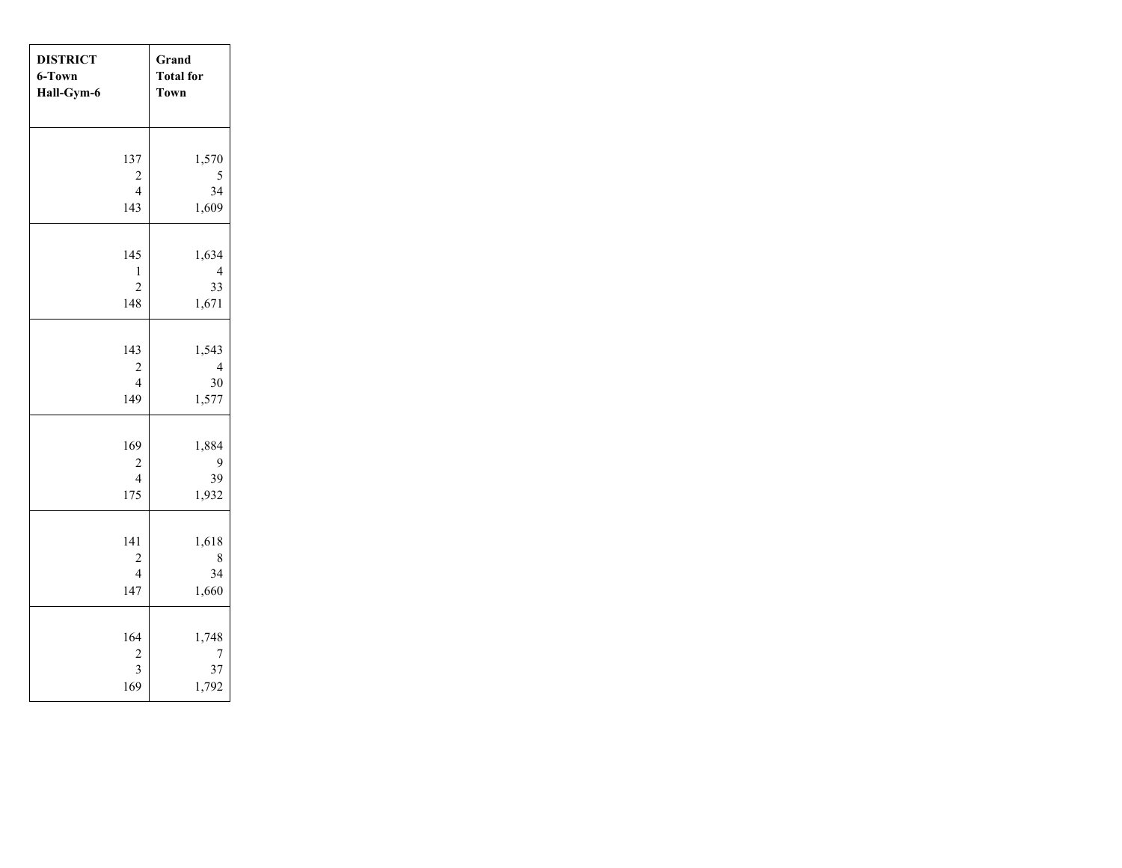| <b>DISTRICT</b>             | Grand                     |
|-----------------------------|---------------------------|
| 6-Town                      | <b>Total</b> for          |
| Hall-Gym-6                  | <b>Town</b>               |
| 137                         | 1,570                     |
| $\overline{\mathbf{c}}$     | 5                         |
| $\overline{4}$              | 34                        |
| 143                         | 1,609                     |
| 145                         | 1,634                     |
| $\mathbf{1}$                | $\overline{4}$            |
| $\overline{c}$              | 33                        |
| 148                         | 1,671                     |
| 143                         | 1,543                     |
| $\overline{\mathbf{c}}$     | $\overline{4}$            |
| $\overline{4}$              | 30                        |
| 149                         | 1,577                     |
| 169<br>$\frac{2}{4}$<br>175 | 1,884<br>9<br>39<br>1,932 |
| 141                         | 1,618                     |
| $\overline{\mathbf{c}}$     | 8                         |
| $\overline{4}$              | 34                        |
| 147                         | 1,660                     |
| 164                         | 1,748                     |
| $\overline{\mathbf{c}}$     | 7                         |
| $\overline{\mathbf{3}}$     | 37                        |
| 169                         | 1,792                     |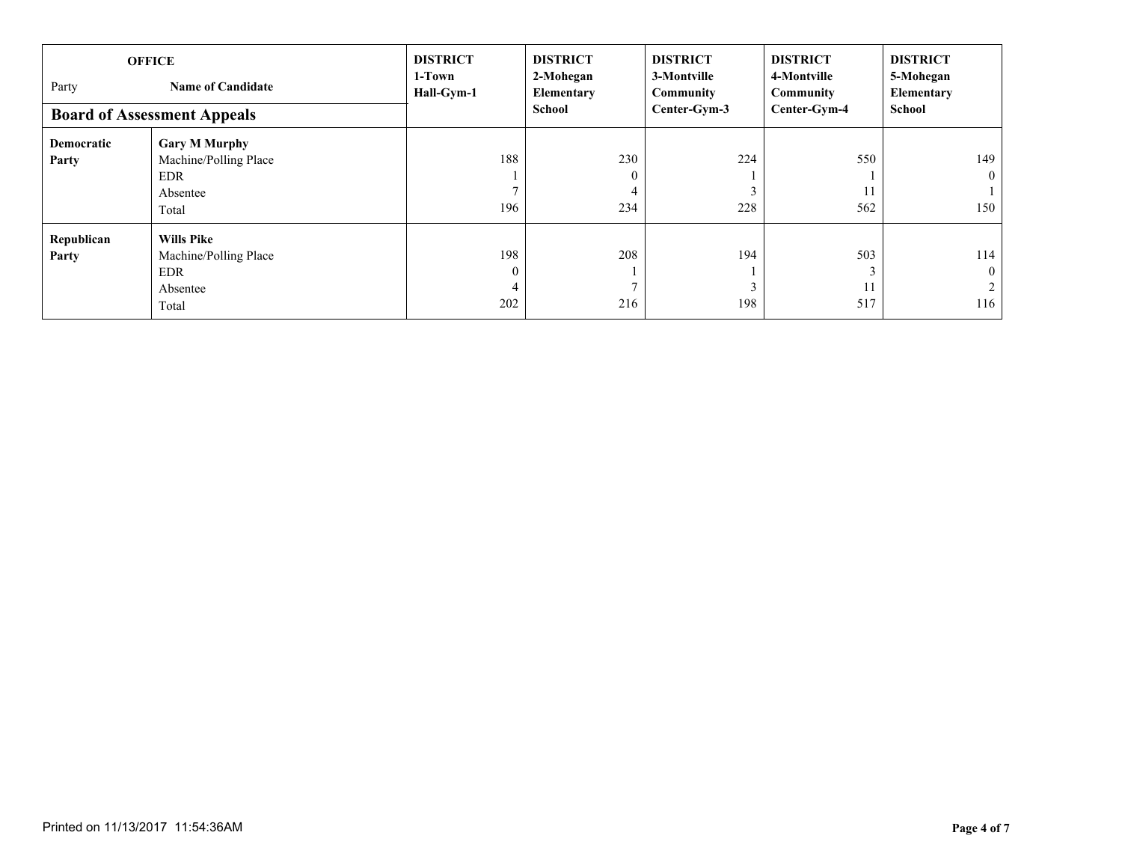| <b>OFFICE</b><br>Party<br><b>Name of Candidate</b><br><b>Board of Assessment Appeals</b> |                                                                                  | <b>DISTRICT</b><br>1-Town<br>Hall-Gym-1 | <b>DISTRICT</b><br>2-Mohegan<br>Elementary<br>School | <b>DISTRICT</b><br>3-Montville<br>Community<br>Center-Gym-3 | <b>DISTRICT</b><br>4-Montville<br>Community<br>Center-Gym-4 | <b>DISTRICT</b><br>5-Mohegan<br>Elementary<br><b>School</b> |
|------------------------------------------------------------------------------------------|----------------------------------------------------------------------------------|-----------------------------------------|------------------------------------------------------|-------------------------------------------------------------|-------------------------------------------------------------|-------------------------------------------------------------|
| Democratic<br>Party                                                                      | <b>Gary M Murphy</b><br>Machine/Polling Place<br><b>EDR</b><br>Absentee<br>Total | 188<br>196                              | 230<br>$\mathbf{0}$<br>4<br>234                      | 224<br>228                                                  | 550<br>11<br>562                                            | 149<br>$\theta$<br>150                                      |
| Republican<br>Party                                                                      | <b>Wills Pike</b><br>Machine/Polling Place<br><b>EDR</b><br>Absentee<br>Total    | 198<br>$\Omega$<br>4<br>202             | 208<br>$\overline{ }$<br>216                         | 194<br>198                                                  | 503<br>11<br>517                                            | 114<br>$\mathbf{0}$<br>116                                  |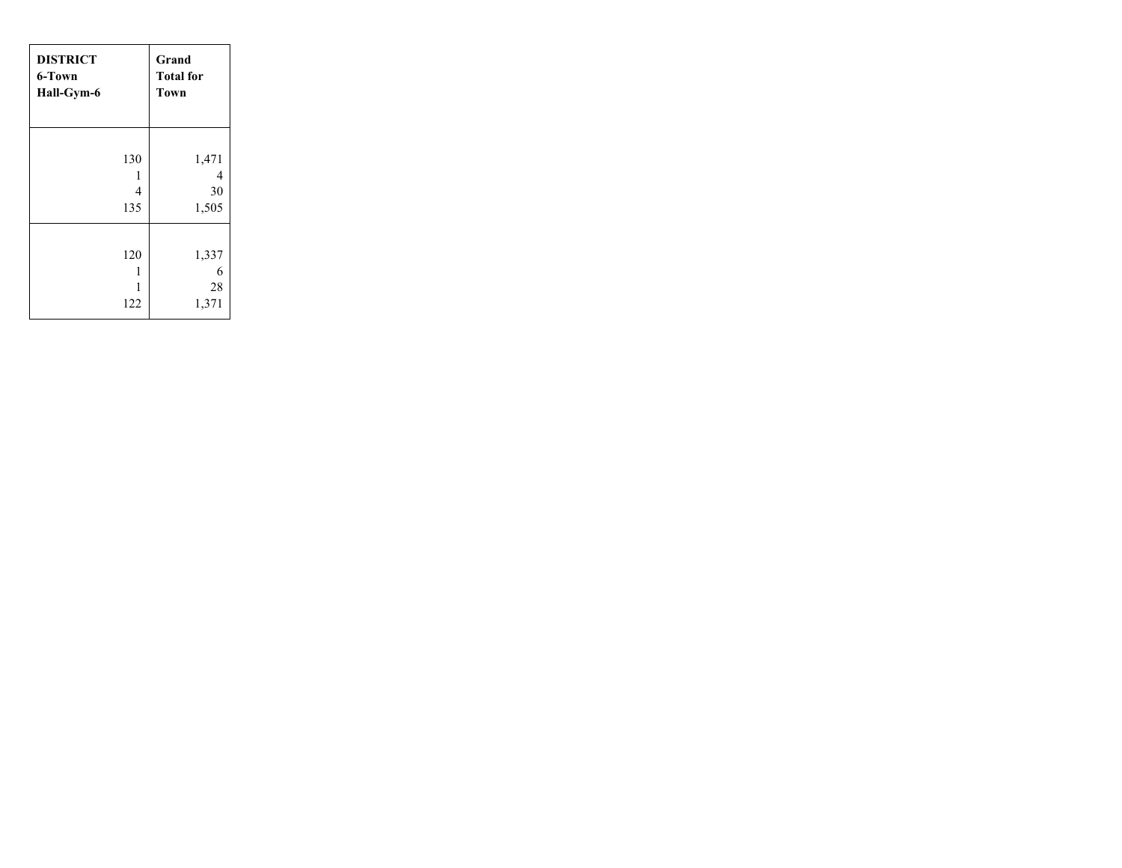| <b>DISTRICT</b><br>6-Town<br>Hall-Gym-6 | Grand<br><b>Total for</b><br><b>Town</b>         |
|-----------------------------------------|--------------------------------------------------|
| 130<br>135                              | 1,471<br>4<br>1<br>$\overline{4}$<br>30<br>1,505 |
| 120<br>122                              | 1,337<br>6<br>1<br>28<br>1<br>1,371              |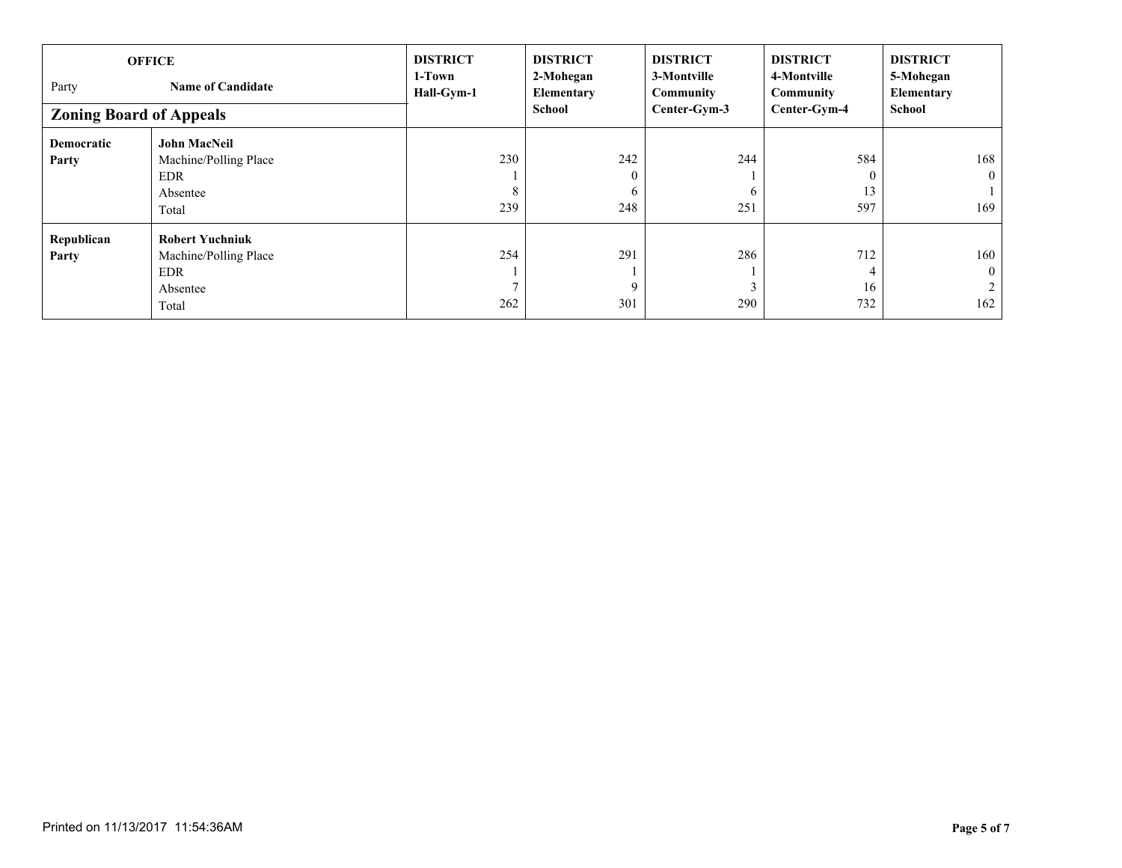| <b>OFFICE</b>                     |                        | <b>DISTRICT</b>      | <b>DISTRICT</b>         | <b>DISTRICT</b>          | <b>DISTRICT</b>          | <b>DISTRICT</b>         |
|-----------------------------------|------------------------|----------------------|-------------------------|--------------------------|--------------------------|-------------------------|
| Party<br><b>Name of Candidate</b> |                        | 1-Town<br>Hall-Gym-1 | 2-Mohegan<br>Elementary | 3-Montville<br>Community | 4-Montville<br>Community | 5-Mohegan<br>Elementary |
| <b>Zoning Board of Appeals</b>    |                        |                      | School                  | Center-Gym-3             | Center-Gym-4             | <b>School</b>           |
| <b>Democratic</b>                 | <b>John MacNeil</b>    |                      |                         |                          |                          |                         |
| Party                             | Machine/Polling Place  | 230                  | 242                     | 244                      | 584                      | 168                     |
|                                   | <b>EDR</b>             |                      | $\mathbf{0}$            |                          | $\theta$                 | $\theta$                |
|                                   | Absentee               | 8                    | 6                       | <sub>t</sub>             | 13                       |                         |
|                                   | Total                  | 239                  | 248                     | 251                      | 597                      | 169                     |
| Republican                        | <b>Robert Yuchniuk</b> |                      |                         |                          |                          |                         |
| Party                             | Machine/Polling Place  | 254                  | 291                     | 286                      | 712                      | 160                     |
|                                   | <b>EDR</b>             |                      |                         |                          |                          | $\mathbf{0}$            |
|                                   | Absentee               |                      | 9                       |                          | 16                       |                         |
|                                   | Total                  | 262                  | 301                     | 290                      | 732                      | 162                     |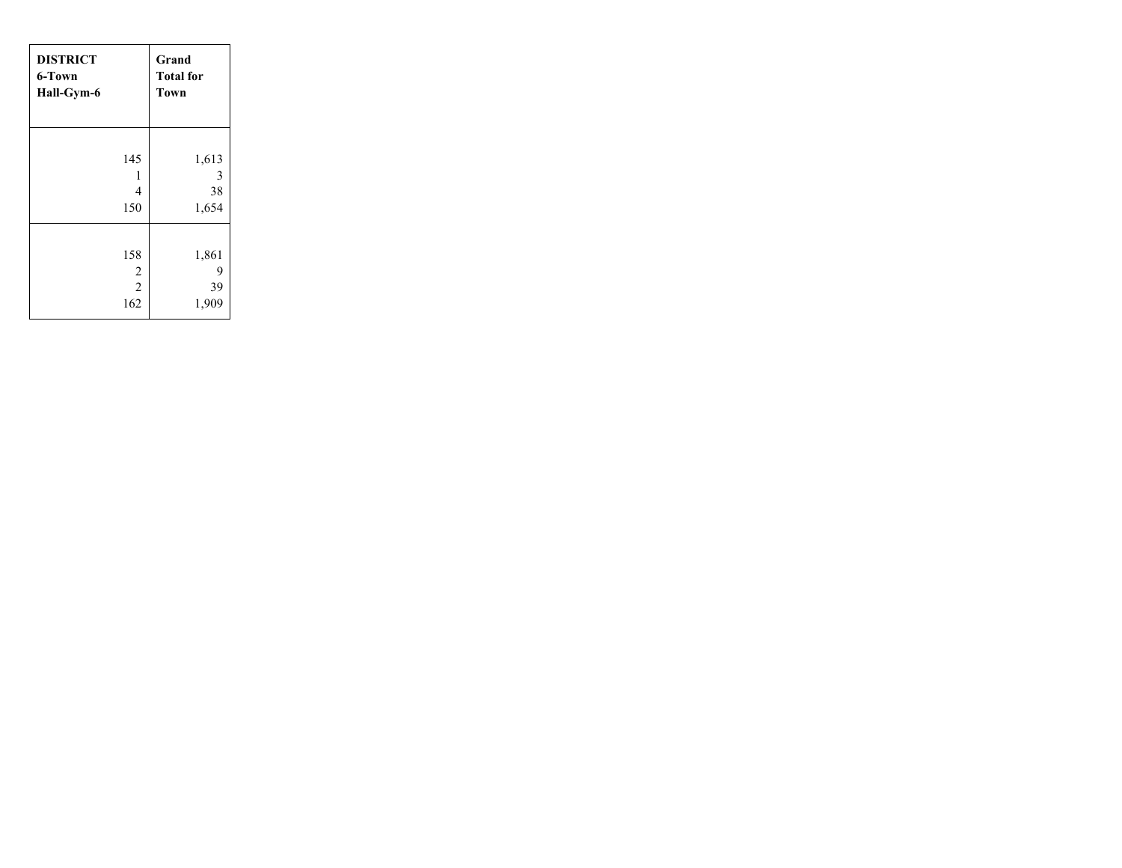| <b>DISTRICT</b>             | Grand                     |
|-----------------------------|---------------------------|
| 6-Town                      | <b>Total for</b>          |
| Hall-Gym-6                  | Town                      |
| 145                         | 1,613                     |
| 1                           | 3                         |
| $\overline{4}$              | 38                        |
| 150                         | 1,654                     |
| 158<br>$\frac{2}{2}$<br>162 | 1,861<br>9<br>39<br>1,909 |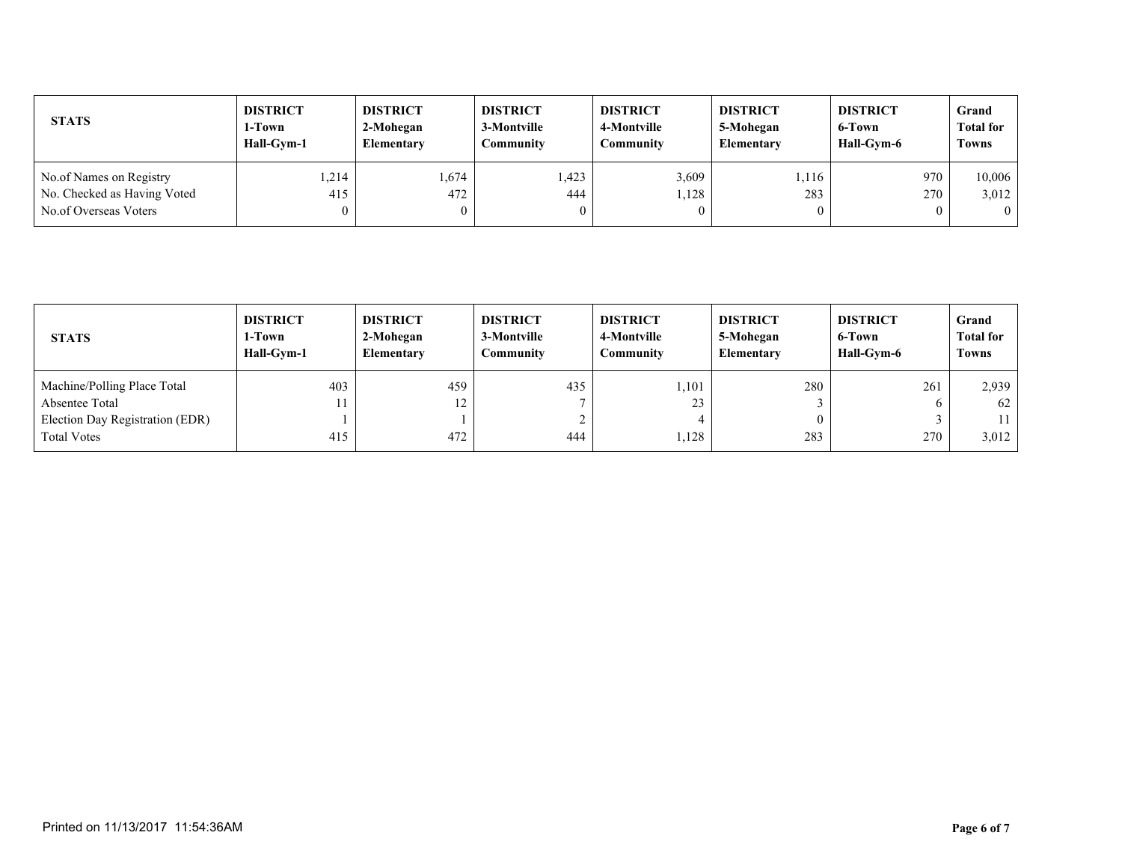| <b>STATS</b>                                                                    | <b>DISTRICT</b> | <b>DISTRICT</b>   | <b>DISTRICT</b> | <b>DISTRICT</b> | <b>DISTRICT</b>   | <b>DISTRICT</b> | Grand                       |
|---------------------------------------------------------------------------------|-----------------|-------------------|-----------------|-----------------|-------------------|-----------------|-----------------------------|
|                                                                                 | 1-Town          | 2-Mohegan         | 3-Montville     | 4-Montville     | 5-Mohegan         | 6-Town          | <b>Total for</b>            |
|                                                                                 | Hall-Gvm-1      | <b>Elementary</b> | Community       | Community       | <b>Elementary</b> | Hall-Gym-6      | <b>Towns</b>                |
| No.of Names on Registry<br>No. Checked as Having Voted<br>No.of Overseas Voters | 1,214<br>415    | 1,674<br>472      | .423<br>444     | 3,609<br>.128   | 1.116<br>283      | 970<br>270      | 10.006<br>3,012<br>$\Omega$ |

| <b>STATS</b>                    | <b>DISTRICT</b><br>1-Town<br>Hall-Gym-1 | <b>DISTRICT</b><br>2-Mohegan<br>Elementary | <b>DISTRICT</b><br>3-Montville<br>Community | <b>DISTRICT</b><br>4-Montville<br>Community | <b>DISTRICT</b><br>5-Mohegan<br><b>Elementary</b> | <b>DISTRICT</b><br>6-Town<br>Hall-Gym-6 | Grand<br><b>Total for</b><br><b>Towns</b> |
|---------------------------------|-----------------------------------------|--------------------------------------------|---------------------------------------------|---------------------------------------------|---------------------------------------------------|-----------------------------------------|-------------------------------------------|
| Machine/Polling Place Total     | 403                                     | 459                                        | 435                                         | ,101                                        | 280                                               | 261                                     | 2,939                                     |
| Absentee Total                  | 11                                      | 12                                         |                                             | 23                                          |                                                   |                                         | 62                                        |
| Election Day Registration (EDR) |                                         |                                            |                                             |                                             |                                                   |                                         |                                           |
| <b>Total Votes</b>              | 415                                     | 472                                        | 444                                         | 1,128                                       | 283                                               | 270                                     | 3,012                                     |